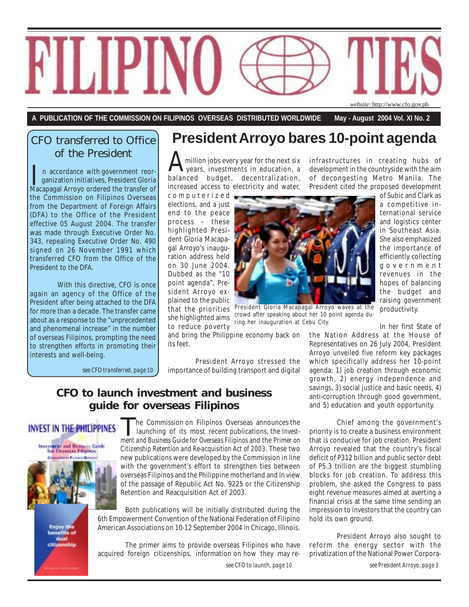

**A PUBLICATION OF THE COMMISSION ON FILIPINOS OVERSEAS DISTRIBUTED WORLDWIDE May - August 2004 Vol. XI No. 2**

## CFO transferred to Office of the President

In accordance with government reor-<br>ganization initiatives, President Gloria<br>Macapagal Arroyo ordered the transfer of n accordance with government reor ganization initiatives, President Gloria the Commission on Filipinos Overseas from the Department of Foreign Affairs (DFA) to the Office of the President effective 05 August 2004. The transfer was made through Executive Order No. 343, repealing Executive Order No. 490 signed on 26 November 1991 which transferred CFO from the Office of the President to the DFA.

With this directive, CFO is once again an agency of the Office of the President after being attached to the DFA for more than a decade. The transfer came about as a response to the "unprecedented and phenomenal increase" in the number of overseas Filipinos, prompting the need to strengthen efforts in promoting their interests and well-being.

*see CFO transferred, page 10*

## **President Arroyo bares 10-point agenda**

A million jobs every year for the next six<br>years, investments in education, a<br>balanced budget, decentralization, million jobs every year for the next six years, investments in education, a increased access to electricity and water,

computerized elections, and a just end to the peace process – these highlighted President Gloria Macapagal Arroyo's inauguration address held on 30 June 2004. Dubbed as the "10 point agenda", President Arroyo explained to the public she highlighted aims to reduce poverty

and bring the Philippine economy back on its feet.

President Arroyo stressed the importance of building transport and digital

## **CFO to launch investment and business guide for overseas Filipinos**

## **INVEST IN THE PHILIPPINES**



 he Commission on Filipinos Overseas announces the launching of its most recent publications, the *Invest***he Commission on Filipinos Overseas announces the launching of its most recent publications, the** *Investment and Business Guide for Overseas Filipinos* **and the** *Primer on Citizenship Retention and Re-acquisition Act of 2003.* These two new publications were developed by the Commission in line with the government's effort to strengthen ties between overseas Filipinos and the Philippine motherland and in view of the passage of Republic Act No. 9225 or the Citizenship Retention and Reacquisition Act of 2003.

Both publications will be initially distributed during the 6th Empowerment Convention of the National Federation of Filipino American Associations on 10-12 September 2004 in Chicago, Illinois.

The primer aims to provide overseas Filipinos who have acquired foreign citizenships, information on how they may re-

*see CFO to launch, page 10*

infrastructures in creating hubs of development in the countryside with the aim of decongesting Metro Manila. The President cited the proposed development



that the priorities President Gloria Macapagal Arroyo waves at the<br>cho highlighted aims, <sup>crowd</sup> after speaking about her 10 point agenda during her inauguration at Cebu City.

of Subic and Clark as a competitive international service and logistics center in Southeast Asia. She also emphasized the importance of efficiently collecting government revenues in the hopes of balancing the budget and raising government productivity.

In her first State of

the Nation Address at the House of Representatives on 26 July 2004, President Arroyo unveiled five reform key packages which specifically address her 10-point agenda: 1) job creation through economic growth, 2) energy independence and savings, 3) social justice and basic needs, 4) anti-corruption through good government, and 5) education and youth opportunity.

Chief among the government's priority is to create a business environment that is conducive for job creation. President Arroyo revealed that the country's fiscal deficit of P312 billion and public sector debt of P5.3 trillion are the biggest stumbling blocks for job creation. To address this problem, she asked the Congress to pass eight revenue measures aimed at averting a financial crisis at the same time sending an impression to investors that the country can hold its own ground.

President Arroyo also sought to reform the energy sector with the privatization of the National Power Corpora-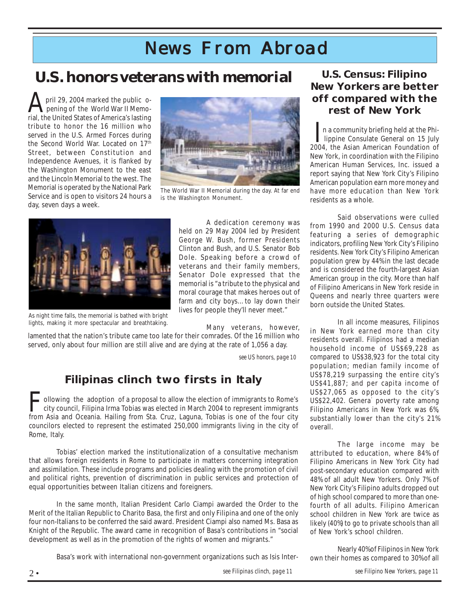## *News From Abroad*

## **U.S. honors veterans with memorial**

 pril 29, 2004 marked the public o pening of the World War II Memopril 29, 2004 marked the public o-<br>pening of the World War II Memo-<br>rial, the United States of America's lasting tribute to honor the 16 million who served in the U.S. Armed Forces during the Second World War. Located on 17<sup>th</sup> Street, between Constitution and Independence Avenues, it is flanked by the Washington Monument to the east and the Lincoln Memorial to the west. The Memorial is operated by the National Park Service and is open to visitors 24 hours a day, seven days a week.



The World War II Memorial during the day. At far end is the Washington Monument.



As night time falls, the memorial is bathed with bright lights, making it more spectacular and breathtaking.

A dedication ceremony was held on 29 May 2004 led by President George W. Bush, former Presidents Clinton and Bush, and U.S. Senator Bob Dole. Speaking before a crowd of veterans and their family members, Senator Dole expressed that the memorial is "a tribute to the physical and moral courage that makes heroes out of farm and city boys...to lay down their lives for people they'll never meet."

Many veterans, however,

lamented that the nation's tribute came too late for their comrades. Of the 16 million who served, only about four million are still alive and are dying at the rate of 1,056 a day.

*see US honors, page 10*

## **Filipinas clinch two firsts in Italy**

 ollowing the adoption of a proposal to allow the election of immigrants to Rome's city council, Filipina Irma Tobias was elected in March 2004 to represent immigrants Following the adoption of a proposal to allow the election of immigrants to Rome's<br>city council, Filipina Irma Tobias was elected in March 2004 to represent immigrants<br>from Asia and Oceania. Hailing from Sta. Cruz, Laguna, councilors elected to represent the estimated 250,000 immigrants living in the city of Rome, Italy.

Tobias' election marked the institutionalization of a consultative mechanism that allows foreign residents in Rome to participate in matters concerning integration and assimilation. These include programs and policies dealing with the promotion of civil and political rights, prevention of discrimination in public services and protection of equal opportunities between Italian citizens and foreigners.

In the same month, Italian President Carlo Ciampi awarded the Order to the Merit of the Italian Republic to Charito Basa, the first and only Filipina and one of the only four non-Italians to be conferred the said award. President Ciampi also named Ms. Basa as Knight of the Republic. The award came in recognition of Basa's contributions in "social development as well as in the promotion of the rights of women and migrants."

Basa's work with international non-government organizations such as Isis Inter-

### **U.S. Census: Filipino New Yorkers are better off compared with the rest of New York**

 n a community briefing held at the Phi- In a community briefing held at the Phi-<br>lippine Consulate General on 15 July<br>2004, the Asian American Equipolation of 2004, the Asian American Foundation of New York, in coordination with the Filipino American Human Services, Inc. issued a report saying that New York City's Filipino American population earn more money and have more education than New York residents as a whole.

Said observations were culled from 1990 and 2000 U.S. Census data featuring a series of demographic indicators, profiling New York City's Filipino residents. New York City's Filipino American population grew by 44% in the last decade and is considered the fourth-largest Asian American group in the city. More than half of Filipino Americans in New York reside in Queens and nearly three quarters were born outside the United States.

In all income measures, Filipinos in New York earned more than city residents overall. Filipinos had a median household income of US\$69,228 as compared to US\$38,923 for the total city population; median family income of US\$78,219 surpassing the entire city's US\$41,887; and per capita income of US\$27,065 as opposed to the city's US\$22,402. General poverty rate among Filipino Americans in New York was 6%, substantially lower than the city's 21% overall.

The large income may be attributed to education, where 84% of Filipino Americans in New York City had post-secondary education compared with 48% of all adult New Yorkers. Only 7% of New York City's Filipino adults dropped out of high school compared to more than onefourth of all adults. Filipino American school children in New York are twice as likely (40%) to go to private schools than all of New York's school children.

Nearly 40% of Filipinos in New York own their homes as compared to 30% of all

*see Filipinas clinch, page 11*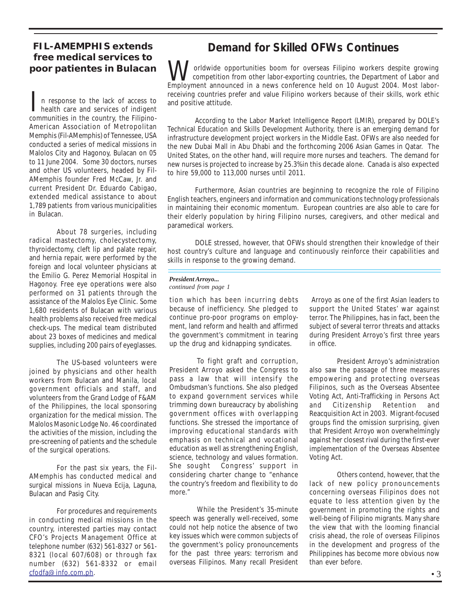### **FIL-AMEMPHIS extends free medical services to poor patientes in Bulacan**

 n response to the lack of access to health care and services of indigent In response to the lack of access to<br>health care and services of indigent<br>communities in the country, the Filipino-American Association of Metropolitan Memphis (Fil-AMemphis) of Tennessee, USA conducted a series of medical missions in Malolos City and Hagonoy, Bulacan on 05 to 11 June 2004. Some 30 doctors, nurses and other US volunteers, headed by Fil-AMemphis founder Fred McCaw, Jr. and current President Dr. Eduardo Cabigao, extended medical assistance to about 1,789 patients from various municipalities in Bulacan.

About 78 surgeries, including radical mastectomy, cholecystectomy, thyroidectomy, cleft lip and palate repair, and hernia repair, were performed by the foreign and local volunteer physicians at the Emilio G. Perez Memorial Hospital in Hagonoy. Free eye operations were also performed on 31 patients through the assistance of the Malolos Eye Clinic. Some 1,680 residents of Bulacan with various health problems also received free medical check-ups. The medical team distributed about 23 boxes of medicines and medical supplies, including 200 pairs of eyeglasses.

The US-based volunteers were joined by physicians and other health workers from Bulacan and Manila, local government officials and staff, and volunteers from the Grand Lodge of F&AM of the Philippines, the local sponsoring organization for the medical mission. The Malolos Masonic Lodge No. 46 coordinated the activities of the mission, including the pre-screening of patients and the schedule of the surgical operations.

For the past six years, the Fil-AMemphis has conducted medical and surgical missions in Nueva Ecija, Laguna, Bulacan and Pasig City.

For procedures and requirements in conducting medical missions in the country, interested parties may contact CFO's Projects Management Office at telephone number (632) 561-8327 or 561- 8321 (local 607/608) or through fax number (632) 561-8332 or email cfodfa@info.com.ph.

## **Demand for Skilled OFWs Continues**

 orldwide opportunities boom for overseas Filipino workers despite growing competition from other labor-exporting countries, the Department of Labor and Employment announced in a news conference held on 10 August 2004. Most labor-W receiving countries prefer and value Filipino workers because of their skills, work ethic and positive attitude.

According to the Labor Market Intelligence Report (LMIR), prepared by DOLE's Technical Education and Skills Development Authority, there is an emerging demand for infrastructure development project workers in the Middle East. OFWs are also needed for the new Dubai Mall in Abu Dhabi and the forthcoming 2006 Asian Games in Qatar. The United States, on the other hand, will require more nurses and teachers. The demand for new nurses is projected to increase by 25.3% in this decade alone. Canada is also expected to hire 59,000 to 113,000 nurses until 2011.

Furthermore, Asian countries are beginning to recognize the role of Filipino English teachers, engineers and information and communications technology professionals in maintaining their economic momentum. European countries are also able to care for their elderly population by hiring Filipino nurses, caregivers, and other medical and paramedical workers.

DOLE stressed, however, that OFWs should strengthen their knowledge of their host country's culture and language and continuously reinforce their capabilities and skills in response to the growing demand.

#### *President Arroyo... continued from page 1*

tion which has been incurring debts because of inefficiency. She pledged to continue pro-poor programs on employment, land reform and health and affirmed the government's commitment in tearing up the drug and kidnapping syndicates.

To fight graft and corruption, President Arroyo asked the Congress to pass a law that will intensify the Ombudsman's functions. She also pledged to expand government services while trimming down bureaucracy by abolishing government offices with overlapping functions. She stressed the importance of improving educational standards with emphasis on technical and vocational education as well as strengthening English, science, technology and values formation. She sought Congress' support in considering charter change to "enhance the country's freedom and flexibility to do more."

While the President's 35-minute speech was generally well-received, some could not help notice the absence of two key issues which were common subjects of the government's policy pronouncements for the past three years: terrorism and overseas Filipinos. Many recall President

 Arroyo as one of the first Asian leaders to support the United States' war against terror. The Philippines, has in fact, been the subject of several terror threats and attacks during President Arroyo's first three years in office.

President Arroyo's administration also saw the passage of three measures empowering and protecting overseas Filipinos, such as the Overseas Absentee Voting Act, Anti-Trafficking in Persons Act and Citizenship Retention and Reacquisition Act in 2003. Migrant-focused groups find the omission surprising, given that President Arroyo won overwhelmingly against her closest rival during the first-ever implementation of the Overseas Absentee Voting Act.

Others contend, however, that the lack of new policy pronouncements concerning overseas Filipinos does not equate to less attention given by the government in promoting the rights and well-being of Filipino migrants. Many share the view that with the looming financial crisis ahead, the role of overseas Filipinos in the development and progress of the Philippines has become more obvious now than ever before.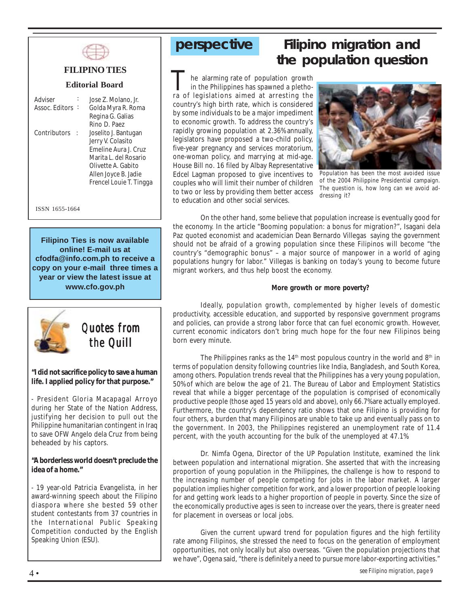

### **FILIPINO TIES**

#### **Editorial Board**

| Adviser        | Jose Z. Molano, Jr.        |
|----------------|----------------------------|
| Assoc. Editors | Golda Myra R. Roma         |
|                | Regina G. Galias           |
|                | Rino D. Paez               |
| Contributors   | Joselito J. Bantugan       |
|                | Jerry V. Colasito          |
|                | <b>Emeline Aura L Cruz</b> |
|                | Marita L. del Rosario      |
|                | Olivette A. Gabito         |
|                | Allen Joyce B. Jadie       |
|                | Frencel Louie T. Tingga    |
|                |                            |

ISSN 1655-1664

**Filipino Ties is now available online! E-mail us at cfodfa@info.com.ph to receive a copy on your e-mail three times a year or view the latest issue at www.cfo.gov.ph**



*Quotes from the Quill Quill*

**"I did not sacrifice policy to save a human life. I applied policy for that purpose."**

- President Gloria Macapagal Arroyo during her State of the Nation Address, justifying her decision to pull out the Philippine humanitarian contingent in Iraq to save OFW Angelo dela Cruz from being beheaded by his captors.

**"A borderless world doesn't preclude the idea of a home."**

- 19 year-old Patricia Evangelista, in her award-winning speech about the Filipino diaspora where she bested 59 other student contestants from 37 countries in the International Public Speaking Competition conducted by the English Speaking Union (ESU).

## **perspective Filipino migration and the population question**

 he alarming rate of population growth in the Philippines has spawned a pletho-The alarming rate of population growth<br>in the Philippines has spawned a pletho-<br>ra of legislations aimed at arresting the country's high birth rate, which is considered by some individuals to be a major impediment to economic growth. To address the country's rapidly growing population at 2.36% annually, legislators have proposed a two-child policy, five-year pregnancy and services moratorium, one-woman policy, and marrying at mid-age. House Bill no. 16 filed by Albay Representative Edcel Lagman proposed to give incentives to couples who will limit their number of children to two or less by providing them better access to education and other social services.



Population has been the most avoided issue of the 2004 Philippine Presidential campaign. The question is, how long can we avoid addressing it?

On the other hand, some believe that population increase is eventually good for the economy. In the article "Booming population: a bonus for migration?", Isagani dela Paz quoted economist and academician Dean Bernardo Villegas saying the government should not be afraid of a growing population since these Filipinos will become "the country's "demographic bonus" – a major source of manpower in a world of aging populations hungry for labor." Villegas is banking on today's young to become future migrant workers, and thus help boost the economy.

#### **More growth or more poverty?**

Ideally, population growth, complemented by higher levels of domestic productivity, accessible education, and supported by responsive government programs and policies, can provide a strong labor force that can fuel economic growth. However, current economic indicators don't bring much hope for the four new Filipinos being born every minute.

The Philippines ranks as the  $14<sup>th</sup>$  most populous country in the world and  $8<sup>th</sup>$  in terms of population density following countries like India, Bangladesh, and South Korea, among others. Population trends reveal that the Philippines has a very young population, 50% of which are below the age of 21. The Bureau of Labor and Employment Statistics reveal that while a bigger percentage of the population is comprised of economically productive people (those aged 15 years old and above), only 66.7% are actually employed. Furthermore, the country's dependency ratio shows that one Filipino is providing for four others, a burden that many Filipinos are unable to take up and eventually pass on to the government. In 2003, the Philippines registered an unemployment rate of 11.4 percent, with the youth accounting for the bulk of the unemployed at 47.1%.

Dr. Nimfa Ogena, Director of the UP Population Institute, examined the link between population and international migration. She asserted that with the increasing proportion of young population in the Philippines, the challenge is how to respond to the increasing number of people competing for jobs in the labor market. A larger population implies higher competition for work, and a lower proportion of people looking for and getting work leads to a higher proportion of people in poverty. Since the size of the economically productive ages is seen to increase over the years, there is greater need for placement in overseas or local jobs.

Given the current upward trend for population figures and the high fertility rate among Filipinos, she stressed the need to focus on the generation of employment opportunities, not only locally but also overseas. "Given the population projections that we have", Ogena said, "there is definitely a need to pursue more labor-exporting activities."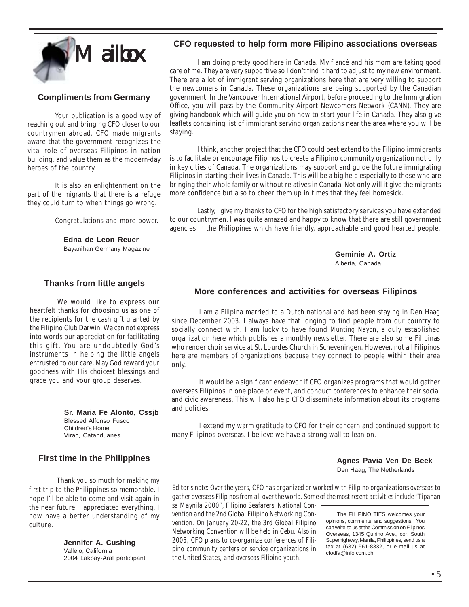

### **Compliments from Germany**

Your publication is a good way of reaching out and bringing CFO closer to our countrymen abroad. CFO made migrants aware that the government recognizes the vital role of overseas Filipinos in nation building, and value them as the modern-day heroes of the country.

It is also an enlightenment on the part of the migrants that there is a refuge they could turn to when things go wrong.

Congratulations and more power.

**Edna de Leon Reuer** Bayanihan Germany Magazine

#### **Thanks from little angels**

We would like to express our heartfelt thanks for choosing us as one of the recipients for the cash gift granted by the Filipino Club Darwin. We can not express into words our appreciation for facilitating this gift. You are undoubtedly God's instruments in helping the little angels entrusted to our care. May God reward your goodness with His choicest blessings and grace you and your group deserves.

> **Sr. Maria Fe Alonto, Cssjb** Blessed Alfonso Fusco Children's Home Virac, Catanduanes

### **First time in the Philippines**

Thank you so much for making my first trip to the Philippines so memorable. I hope I'll be able to come and visit again in the near future. I appreciated everything. I now have a better understanding of my culture.

> **Jennifer A. Cushing** Valleio, California 2004 Lakbay-Aral participant

#### **CFO requested to help form more Filipino associations overseas**

I am doing pretty good here in Canada. My fiancé and his mom are taking good care of me. They are very supportive so I don't find it hard to adjust to my new environment. There are a lot of immigrant serving organizations here that are very willing to support the newcomers in Canada. These organizations are being supported by the Canadian government. In the Vancouver International Airport, before proceeding to the Immigration Office, you will pass by the Community Airport Newcomers Network (CANN). They are giving handbook which will guide you on how to start your life in Canada. They also give leaflets containing list of immigrant serving organizations near the area where you will be staying.

I think, another project that the CFO could best extend to the Filipino immigrants is to facilitate or encourage Filipinos to create a Filipino community organization not only in key cities of Canada. The organizations may support and guide the future immigrating Filipinos in starting their lives in Canada. This will be a big help especially to those who are bringing their whole family or without relatives in Canada. Not only will it give the migrants more confidence but also to cheer them up in times that they feel homesick.

Lastly, I give my thanks to CFO for the high satisfactory services you have extended to our countrymen. I was quite amazed and happy to know that there are still government agencies in the Philippines which have friendly, approachable and good hearted people.

> **Geminie A. Ortiz** Alberta, Canada

### **More conferences and activities for overseas Filipinos**

I am a Filipina married to a Dutch national and had been staying in Den Haag since December 2003. I always have that longing to find people from our country to socially connect with. I am lucky to have found *Munting Nayon*, a duly established organization here which publishes a monthly newsletter. There are also some Filipinas who render choir service at St. Lourdes Church in Scheveningen. However, not all Filipinos here are members of organizations because they connect to people within their area only.

It would be a significant endeavor if CFO organizes programs that would gather overseas Filipinos in one place or event, and conduct conferences to enhance their social and civic awareness. This will also help CFO disseminate information about its programs and policies.

I extend my warm gratitude to CFO for their concern and continued support to many Filipinos overseas. I believe we have a strong wall to lean on.

> **Agnes Pavia Ven De Beek** Den Haag, The Netherlands

*Editor's note: Over the years, CFO has organized or worked with Filipino organizations overseas to*

*gather overseas Filipinos from all over the world. Some of the most recent activities include "Tipanan sa Maynila 2000", Filipino Seafarers' National Convention and the 2nd Global Filipino Networking Convention. On January 20-22, the 3rd Global Filipino Networking Convention will be held in Cebu. Also in 2005, CFO plans to co-organize conferences of Filipino community centers or service organizations in the United States, and overseas Filipino youth.*

 The FILIPINO TIES welcomes your opinions, comments, and suggestions. You can write to us at the Commission on Filipinos Overseas, 1345 Quirino Ave., cor. South Superhighway, Manila, Philippines, send us a fax at (632) 561-8332, or e-mail us at cfodfa@info.com.ph.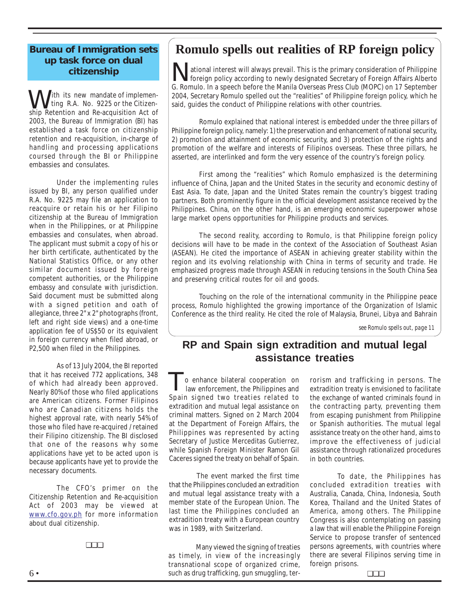### **Bureau of Immigration sets up task force on dual citizenship**

I ith its new mandate of implemen ting R.A. No. 9225 or the Citizen-**W** ith its new mandate of implemenship Retention and Re-acquisition Act of 2003, the Bureau of Immigration (BI) has established a task force on citizenship retention and re-acquisition, in-charge of handling and processing applications coursed through the BI or Philippine embassies and consulates.

Under the implementing rules issued by BI, any person qualified under R.A. No. 9225 may file an application to reacquire or retain his or her Filipino citizenship at the Bureau of Immigration when in the Philippines, or at Philippine embassies and consulates, when abroad. The applicant must submit a copy of his or her birth certificate, authenticated by the National Statistics Office, or any other similar document issued by foreign competent authorities, or the Philippine embassy and consulate with jurisdiction. Said document must be submitted along with a signed petition and oath of allegiance, three 2" x 2" photographs (front, left and right side views) and a one-time application fee of US\$50 or its equivalent in foreign currency when filed abroad, or P2,500 when filed in the Philippines.

As of 13 July 2004, the BI reported that it has received 772 applications, 348 of which had already been approved. Nearly 80% of those who filed applications are American citizens. Former Filipinos who are Canadian citizens holds the highest approval rate, with nearly 54% of those who filed have re-acquired / retained their Filipino citizenship. The BI disclosed that one of the reasons why some applications have yet to be acted upon is because applicants have yet to provide the necessary documents.

The CFO's primer on the Citizenship Retention and Re-acquisition Act of 2003 may be viewed at www.cfo.gov.ph for more information about dual citizenship.

## **Romulo spells out realities of RP foreign policy**

Mational interest will always prevail. This is the primary consideration of Philippine<br>foreign policy according to newly designated Secretary of Foreign Affairs Alberto<br>G. Romulo. In a speech before the Manila Overseas Pre ational interest will always prevail. This is the primary consideration of Philippine foreign policy according to newly designated Secretary of Foreign Affairs Alberto 2004, Secretary Romulo spelled out the "realities" of Philippine foreign policy, which he said, guides the conduct of Philippine relations with other countries.

Romulo explained that national interest is embedded under the three pillars of Philippine foreign policy, namely: 1) the preservation and enhancement of national security, 2) promotion and attainment of economic security, and 3) protection of the rights and promotion of the welfare and interests of Filipinos overseas. These three pillars, he asserted, are interlinked and form the very essence of the country's foreign policy.

First among the "realities" which Romulo emphasized is the determining influence of China, Japan and the United States in the security and economic destiny of East Asia. To date, Japan and the United States remain the country's biggest trading partners. Both prominently figure in the official development assistance received by the Philippines. China, on the other hand, is an emerging economic superpower whose large market opens opportunities for Philippine products and services.

The second reality, according to Romulo, is that Philippine foreign policy decisions will have to be made in the context of the Association of Southeast Asian (ASEAN). He cited the importance of ASEAN in achieving greater stability within the region and its evolving relationship with China in terms of security and trade. He emphasized progress made through ASEAN in reducing tensions in the South China Sea and preserving critical routes for oil and goods.

Touching on the role of the international community in the Philippine peace process, Romulo highlighted the growing importance of the Organization of Islamic Conference as the third reality. He cited the role of Malaysia, Brunei, Libya and Bahrain

*see Romulo spells out, page 11*

## **RP and Spain sign extradition and mutual legal assistance treaties**

To enhance bilateral cooperation on<br>law enforcement, the Philippines and<br>Spain signed two treaties related to o enhance bilateral cooperation on law enforcement, the Philippines and extradition and mutual legal assistance on criminal matters. Signed on 2 March 2004 at the Department of Foreign Affairs, the Philippines was represented by acting Secretary of Justice Merceditas Gutierrez, while Spanish Foreign Minister Ramon Gil Caceres signed the treaty on behalf of Spain.

The event marked the first time that the Philippines concluded an extradition and mutual legal assistance treaty with a member state of the European Union. The last time the Philippines concluded an extradition treaty with a European country was in 1989, with Switzerland.

Many viewed the signing of treaties as timely, in view of the increasingly transnational scope of organized crime, such as drug trafficking, gun smuggling, terrorism and trafficking in persons. The extradition treaty is envisioned to facilitate the exchange of wanted criminals found in the contracting party, preventing them from escaping punishment from Philippine or Spanish authorities. The mutual legal assistance treaty on the other hand, aims to improve the effectiveness of judicial assistance through rationalized procedures in both countries.

To date, the Philippines has concluded extradition treaties with Australia, Canada, China, Indonesia, South Korea, Thailand and the United States of America, among others. The Philippine Congress is also contemplating on passing a law that will enable the Philippine Foreign Service to propose transfer of sentenced persons agreements, with countries where there are several Filipinos serving time in foreign prisons.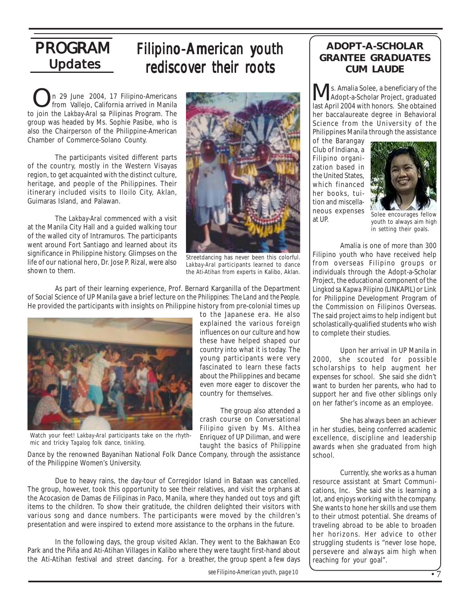## **Updates** PROGRAM

## Filipino-American youth rediscover their roots

n 29 June 2004, 17 Filipino-Americans from Vallejo, California arrived in Manila to join the *Lakbay-Aral sa Pilipinas* Program. The group was headed by Ms. Sophie Pasibe, who is also the Chairperson of the Philippine-American Chamber of Commerce-Solano County. On 29 June 2004, 17 Filipino-Americans<br>
from Vallejo, California arrived in Manila

The participants visited different parts of the country, mostly in the Western Visayas region, to get acquainted with the distinct culture, heritage, and people of the Philippines. Their itinerary included visits to Iloilo City, Aklan, Guimaras Island, and Palawan.

The *Lakbay-Aral* commenced with a visit at the Manila City Hall and a guided walking tour of the walled city of Intramuros. The participants went around Fort Santiago and learned about its significance in Philippine history. Glimpses on the life of our national hero, Dr. Jose P. Rizal, were also shown to them.



Streetdancing has never been this colorful. *Lakbay-Aral* participants learned to dance the *Ati-Atihan* from experts in Kalibo, Aklan.

explained the various foreign influences on our culture and how these have helped shaped our country into what it is today. The young participants were very fascinated to learn these facts about the Philippines and became even more eager to discover the

The group also attended a crash course on *Conversational Filipino* given by Ms. Althea Enriquez of UP Diliman, and were taught the basics of *Philippine*

country for themselves.

As part of their learning experience, Prof. Bernard Karganilla of the Department of Social Science of UP Manila gave a brief lecture on the *Philippines: The Land and the People*. He provided the participants with insights on Philippine history from pre-colonial times up to the Japanese era. He also



Watch your feet! *Lakbay-Aral* participants take on the rhythmic and tricky *Tagalog* folk dance, *tinikling.*

*Dance* by the renowned Bayanihan National Folk Dance Company, through the assistance of the Philippine Women's University.

Due to heavy rains, the day-tour of Corregidor Island in Bataan was cancelled. The group, however, took this opportunity to see their relatives, and visit the orphans at the Acocasion de Damas de Filipinas in Paco, Manila, where they handed out toys and gift items to the children. To show their gratitude, the children delighted their visitors with various song and dance numbers. The participants were moved by the children's presentation and were inspired to extend more assistance to the orphans in the future.

In the following days, the group visited Aklan. They went to the Bakhawan Eco Park and the Piña and Ati-Atihan Villages in Kalibo where they were taught first-hand about the Ati-Atihan festival and street dancing. For a breather, the group spent a few days

*see Filipino-American youth, page 10*

### **ADOPT-A-SCHOLAR GRANTEE GRADUATES CUM LAUDE**

 s. Amalia Solee, a beneficiary of the Adopt-a-Scholar Project, graduated last April 2004 with honors. She obtained her baccalaureate degree in Behavioral Science from the University of the Philippines Manila through the assistance

of the Barangay Club of Indiana, a Filipino organization based in the United States, which financed her books, tuition and miscellaneous expenses at UP.



Solee encourages fellow youth to always aim high in setting their goals.

Amalia is one of more than 300 Filipino youth who have received help from overseas Filipino groups or individuals through the Adopt-a-Scholar Project, the educational component of the *Lingkod sa Kapwa Pilipino* (LINKAPIL) or Link for Philippine Development Program of the Commission on Filipinos Overseas. The said project aims to help indigent but scholastically-qualified students who wish to complete their studies.

Upon her arrival in UP Manila in 2000, she scouted for possible scholarships to help augment her expenses for school. She said she didn't want to burden her parents, who had to support her and five other siblings only on her father's income as an employee.

She has always been an achiever in her studies, being conferred academic excellence, discipline and leadership awards when she graduated from high school.

Currently, she works as a human resource assistant at Smart Communications, Inc. She said she is learning a lot, and enjoys working with the company. She wants to hone her skills and use them to their utmost potential. She dreams of traveling abroad to be able to broaden her horizons. Her advice to other struggling students is "never lose hope, persevere and always aim high when reaching for your goal".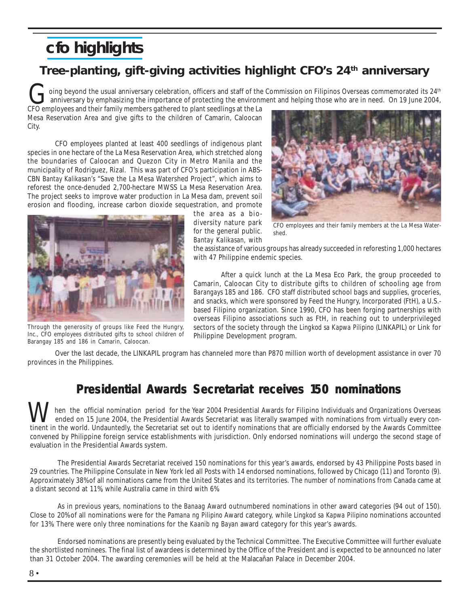## **cfo highlights**

## **Tree-planting, gift-giving activities highlight CFO's 24th anniversary**

oing beyond the usual anniversary celebration, officers and staff of the Commission on Filipinos Overseas commemorated its 24<sup>th</sup> anniversary by emphasizing the importance of protecting the environment and helping those who are in need. On 19 June 2004, CFO employees and their family members gathered to plant seedlings at the La<br>CFO employees and their family members gathered to plant seedlings at the La

Mesa Reservation Area and give gifts to the children of Camarin, Caloocan City.

CFO employees planted at least 400 seedlings of indigenous plant species in one hectare of the La Mesa Reservation Area, which stretched along the boundaries of Caloocan and Quezon City in Metro Manila and the municipality of Rodriguez, Rizal. This was part of CFO's participation in ABS-CBN *Bantay Kalikasan's* "Save the La Mesa Watershed Project", which aims to reforest the once-denuded 2,700-hectare MWSS La Mesa Reservation Area. The project seeks to improve water production in La Mesa dam, prevent soil erosion and flooding, increase carbon dioxide sequestration, and promote



Through the generosity of groups like Feed the Hungry, Inc., CFO employees distributed gifts to school children of Barangay 185 and 186 in Camarin, Caloocan.

the area as a biodiversity nature park for the general public. *Bantay Kalikasan,* with



CFO employees and their family members at the La Mesa Watershed.

the assistance of various groups has already succeeded in reforesting 1,000 hectares with 47 Philippine endemic species.

After a quick lunch at the La Mesa Eco Park, the group proceeded to Camarin, Caloocan City to distribute gifts to children of schooling age from *Barangays* 185 and 186. CFO staff distributed school bags and supplies, groceries, and snacks, which were sponsored by Feed the Hungry, Incorporated (FtH), a U.S. based Filipino organization. Since 1990, CFO has been forging partnerships with overseas Filipino associations such as FtH, in reaching out to underprivileged sectors of the society through the *Lingkod sa Kapwa Pilipino* (LINKAPIL) or Link for Philippine Development program.

Over the last decade, the LINKAPIL program has channeled more than P870 million worth of development assistance in over 70 provinces in the Philippines.

## **Presidential Awards Secretariat receives 150 nominations**

 hen the official nomination period for the Year 2004 Presidential Awards for Filipino Individuals and Organizations Overseas ended on 15 June 2004, the Presidential Awards Secretariat was literally swamped with nominations from virtually every conthen the official nomination period for the Year 2004 Presidential Awards for Filipino Individuals and Organizations Overseas<br>
ended on 15 June 2004, the Presidential Awards Secretariat was literally swamped with nominatio convened by Philippine foreign service establishments with jurisdiction. Only endorsed nominations will undergo the second stage of evaluation in the Presidential Awards system.

The Presidential Awards Secretariat received 150 nominations for this year's awards, endorsed by 43 Philippine Posts based in 29 countries. The Philippine Consulate in New York led all Posts with 14 endorsed nominations, followed by Chicago (11) and Toronto (9). Approximately 38% of all nominations came from the United States and its territories. The number of nominations from Canada came at a distant second at 11%, while Australia came in third with 6%.

As in previous years, nominations to the *Banaag* Award outnumbered nominations in other award categories (94 out of 150). Close to 20% of all nominations were for the *Pamana ng Pilipino* Award category, while *Lingkod sa Kapwa Pilipino* nominations accounted for 13%. There were only three nominations for the *Kaanib ng Bayan* award category for this year's awards.

Endorsed nominations are presently being evaluated by the Technical Committee. The Executive Committee will further evaluate the shortlisted nominees. The final list of awardees is determined by the Office of the President and is expected to be announced no later than 31 October 2004. The awarding ceremonies will be held at the Malacañan Palace in December 2004.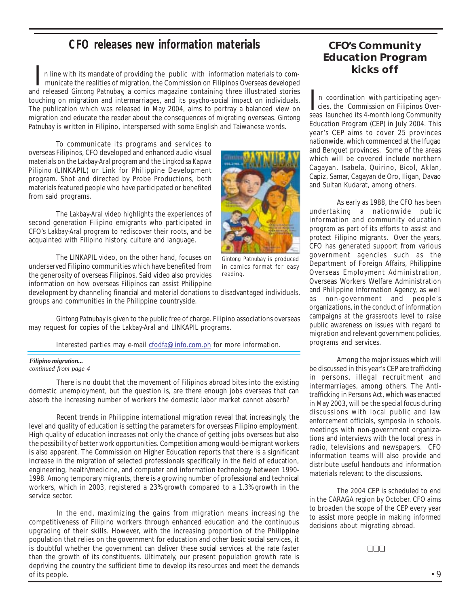## **CFO releases new information materials**

 n line with its mandate of providing the public with information materials to com municate the realities of migration, the Commission on Filipinos Overseas developed n line with its mandate of providing the public with information materials to com-<br>municate the realities of migration, the Commission on Filipinos Overseas developed<br>and released *Gintong Patnubay*, a comics magazine cont touching on migration and intermarriages, and its psycho-social impact on individuals. The publication which was released in May 2004, aims to portray a balanced view on migration and educate the reader about the consequences of migrating overseas. *Gintong Patnubay* is written in Filipino, interspersed with some English and Taiwanese words.

To communicate its programs and services to overseas Filipinos, CFO developed and enhanced audio visual materials on the *Lakbay-Aral* program and the *Lingkod sa Kapwa Pilipino* (LINKAPIL) or Link for Philippine Development program. Shot and directed by Probe Productions, both materials featured people who have participated or benefited from said programs.

The *Lakbay-Aral* video highlights the experiences of second generation Filipino emigrants who participated in CFO's *Lakbay-Aral* program to rediscover their roots, and be acquainted with Filipino history, culture and language.

The LINKAPIL video, on the other hand, focuses on underserved Filipino communities which have benefited from the generosity of overseas Filipinos. Said video also provides information on how overseas Filipinos can assist Philippine

*Gintong Patnubay* is produced in comics format for easy

reading.

development by channeling financial and material donations to disadvantaged individuals, groups and communities in the Philippine countryside.

*Gintong Patnubay* is given to the public free of charge. Filipino associations overseas may request for copies of the *Lakbay-Aral* and LINKAPIL programs.

Interested parties may e-mail cfodfa@info.com.ph for more information.

#### *Filipino migration...*

*continued from page 4*

There is no doubt that the movement of Filipinos abroad bites into the existing domestic unemployment, but the question is, are there enough jobs overseas that can absorb the increasing number of workers the domestic labor market cannot absorb?

Recent trends in Philippine international migration reveal that increasingly, the level and quality of education is setting the parameters for overseas Filipino employment. High quality of education increases not only the chance of getting jobs overseas but also the possibility of better work opportunities. Competition among would-be migrant workers is also apparent. The Commission on Higher Education reports that there is a significant increase in the migration of selected professionals specifically in the field of education, engineering, health/medicine, and computer and information technology between 1990- 1998. Among temporary migrants, there is a growing number of professional and technical workers, which in 2003, registered a 23% growth compared to a 1.3% growth in the service sector.

In the end, maximizing the gains from migration means increasing the competitiveness of Filipino workers through enhanced education and the continuous upgrading of their skills. However, with the increasing proportion of the Philippine population that relies on the government for education and other basic social services, it is doubtful whether the government can deliver these social services at the rate faster than the growth of its constituents. Ultimately, our present population growth rate is depriving the country the sufficient time to develop its resources and meet the demands of its people.

### **CFO's Community Education Program kicks off**

 n coordination with participating agen n coordination with participating agencies, the Commission on Filipinos Overseas launched its 4-month long Community Education Program (CEP) in July 2004. This year's CEP aims to cover 25 provinces nationwide, which commenced at the Ifugao and Benguet provinces. Some of the areas which will be covered include northern Cagayan, Isabela, Quirino, Bicol, Aklan, Capiz, Samar, Cagayan de Oro, Iligan, Davao and Sultan Kudarat, among others.

As early as 1988, the CFO has been undertaking a nationwide public information and community education program as part of its efforts to assist and protect Filipino migrants. Over the years, CFO has generated support from various government agencies such as the Department of Foreign Affairs, Philippine Overseas Employment Administration, Overseas Workers Welfare Administration and Philippine Information Agency, as well as non-government and people's organizations, in the conduct of information campaigns at the grassroots level to raise public awareness on issues with regard to migration and relevant government policies, programs and services.

Among the major issues which will be discussed in this year's CEP are trafficking in persons, illegal recruitment and intermarriages, among others. The Antitrafficking in Persons Act, which was enacted in May 2003, will be the special focus during discussions with local public and law enforcement officials, symposia in schools, meetings with non-government organizations and interviews with the local press in radio, televisions and newspapers. CFO information teams will also provide and distribute useful handouts and information materials relevant to the discussions.

The 2004 CEP is scheduled to end in the CARAGA region by October. CFO aims to broaden the scope of the CEP every year to assist more people in making informed decisions about migrating abroad.

❏❏❏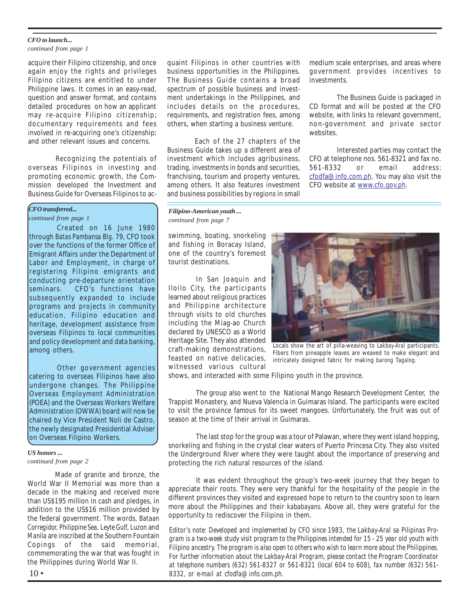#### *CFO to launch...*

*continued from page 1*

acquire their Filipino citizenship, and once again enjoy the rights and privileges Filipino citizens are entitled to under Philippine laws. It comes in an easy-read, question and answer format, and contains detailed procedures on how an applicant may re-acquire Filipino citizenship; documentary requirements and fees involved in re-acquiring one's citizenship; and other relevant issues and concerns.

Recognizing the potentials of overseas Filipinos in investing and promoting economic growth, the Commission developed the Investment and Business Guide for Overseas Filipinos to ac-

#### *CFO transferred...*

*continued from page 1*

Created on 16 June 1980 through *Batas Pambansa Blg.* 79, CFO took over the functions of the former Office of Emigrant Affairs under the Department of Labor and Employment, in charge of registering Filipino emigrants and conducting pre-departure orientation seminars. CFO's functions have subsequently expanded to include programs and projects in community education, Filipino education and heritage, development assistance from overseas Filipinos to local communities and policy development and data banking, among others.

Other government agencies catering to overseas Filipinos have also undergone changes. The Philippine Overseas Employment Administration (POEA) and the Overseas Workers Welfare Administration (OWWA) board will now be chaired by Vice President Noli de Castro, the newly designated Presidential Adviser on Overseas Filipino Workers.

#### *US honors ... continued from page 2*

Made of granite and bronze, the World War II Memorial was more than a decade in the making and received more than US\$195 million in cash and pledges, in addition to the US\$16 million provided by the federal government. The words, *Bataan Corregidor, Philippine Sea, Leyte Gulf, Luzon* and *Manila* are inscribed at the Southern Fountain Copings of the said memorial, commemorating the war that was fought in the Philippines during World War II.

quaint Filipinos in other countries with business opportunities in the Philippines. The Business Guide contains a broad spectrum of possible business and investment undertakings in the Philippines, and includes details on the procedures, requirements, and registration fees, among others, when starting a business venture.

Each of the 27 chapters of the Business Guide takes up a different area of investment which includes agribusiness, trading, investments in bonds and securities, franchising, tourism and property ventures, among others. It also features investment and business possibilities by regions in small

*Filipino-American youth ... continued from page 7*

swimming, boating, snorkeling and fishing in Boracay Island, one of the country's foremost tourist destinations.

In San Joaquin and Iloilo City, the participants learned about religious practices and Philippine architecture through visits to old churches including the Miag-ao Church declared by UNESCO as a World Heritage Site. They also attended craft-making demonstrations, feasted on native delicacies, witnessed various cultural



medium scale enterprises, and areas where government provides incentives to

CD format and will be posted at the CFO website, with links to relevant government. non-government and private sector

CFO at telephone nos. 561-8321 and fax no. 561-8332 or email address: cfodfa@info.com.ph. You may also visit the

CFO website at www.cfo.gov.ph.

The Business Guide is packaged in

Interested parties may contact the

investments.

websites.

Locals show the art of piña-weaving to *Lakbay-Aral* participants. Fibers from pineapple leaves are weaved to make elegant and intricately designed fabric for making *barong Tagalog.*

shows, and interacted with some Filipino youth in the province.

The group also went to the National Mango Research Development Center, the Trappist Monastery, and Nueva Valencia in Guimaras Island. The participants were excited to visit the province famous for its sweet mangoes. Unfortunately, the fruit was out of season at the time of their arrival in Guimaras.

The last stop for the group was a tour of Palawan, where they went island hopping, snorkeling and fishing in the crystal clear waters of Puerto Princesa City. They also visited the Underground River where they were taught about the importance of preserving and protecting the rich natural resources of the island.

It was evident throughout the group's two-week journey that they began to appreciate their roots. They were very thankful for the hospitality of the people in the different provinces they visited and expressed hope to return to the country soon to learn more about the Philippines and their *kababayans.* Above all, they were grateful for the opportunity to rediscover the Filipino in them.

*Editor's note: Developed and implemented by CFO since 1983, the Lakbay-Aral sa Pilipinas Program is a two-week study visit program to the Philippines intended for 15 - 25 year old youth with Filipino ancestry. The program is also open to others who wish to learn more about the Philippines. For further information about the Lakbay-Aral Program, please contact the Program Coordinator at telephone numbers (632) 561-8327 or 561-8321 (local 604 to 608), fax number (632) 561- 8332, or e-mail at cfodfa@info.com.ph.*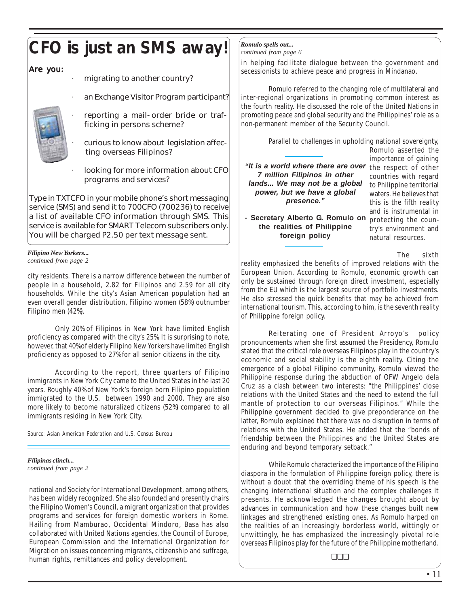# **CFO is just an SMS away!**

Are you:

- migrating to another country?
- an Exchange Visitor Program participant?
- · reporting a mail-order bride or trafficking in persons scheme?
- · curious to know about legislation affec ting overseas Filipinos?
- looking for more information about CFO programs and services?

Type in TXTCFO in your mobile phone's short messaging service (SMS) and send it to 700CFO (700236) to receive a list of available CFO information through SMS. This service is available for SMART Telecom subscribers only. You will be charged P2.50 per text message sent.

#### *Filipino New Yorkers... continued from page 2*

city residents. There is a narrow difference between the number of people in a household, 2.82 for Filipinos and 2.59 for all city households. While the city's Asian American population had an even overall gender distribution, Filipino women (58%) outnumber Filipino men (42%).

Only 20% of Filipinos in New York have limited English proficiency as compared with the city's 25%. It is surprising to note, however, that 40% of elderly Filipino New Yorkers have limited English proficiency as opposed to 27% for all senior citizens in the city.

According to the report, three quarters of Filipino immigrants in New York City came to the United States in the last 20 years. Roughly 40% of New York's foreign born Filipino population immigrated to the U.S. between 1990 and 2000. They are also more likely to become naturalized citizens (52%) compared to all immigrants residing in New York City.

*Source: Asian American Federation and U.S. Census Bureau*

#### *Filipinas clinch... continued from page 2*

national and Society for International Development, among others, has been widely recognized. She also founded and presently chairs the Filipino Women's Council, a migrant organization that provides programs and services for foreign domestic workers in Rome. Hailing from Mamburao, Occidental Mindoro, Basa has also collaborated with United Nations agencies, the Council of Europe, European Commission and the International Organization for Migration on issues concerning migrants, citizenship and suffrage, human rights, remittances and policy development.

## *Romulo spells out...*

*continued from page 6*

in helping facilitate dialogue between the government and secessionists to achieve peace and progress in Mindanao.

Romulo referred to the changing role of multilateral and inter-regional organizations in promoting common interest as the fourth reality. He discussed the role of the United Nations in promoting peace and global security and the Philippines' role as a non-permanent member of the Security Council.

Parallel to challenges in upholding national sovereignty,

"It is a world where there are over the respect of other *7 million Filipinos in other lands... We may not be a global power, but we have a global presence."*

**- Secretary Alberto G. Romulo on the realities of Philippine foreign policy**

Romulo asserted the importance of gaining countries with regard to Philippine territorial waters. He believes that this is the fifth reality and is instrumental in protecting the country's environment and natural resources.

The sixth

reality emphasized the benefits of improved relations with the European Union. According to Romulo, economic growth can only be sustained through foreign direct investment, especially from the EU which is the largest source of portfolio investments. He also stressed the quick benefits that may be achieved from international tourism. This, according to him, is the seventh reality of Philippine foreign policy.

Reiterating one of President Arroyo's policy pronouncements when she first assumed the Presidency, Romulo stated that the critical role overseas Filipinos play in the country's economic and social stability is the eighth reality. Citing the emergence of a global Filipino community, Romulo viewed the Philippine response during the abduction of OFW Angelo dela Cruz as a clash between two interests: "the Philippines' close relations with the United States and the need to extend the full mantle of protection to our overseas Filipinos." While the Philippine government decided to give preponderance on the latter, Romulo explained that there was no disruption in terms of relations with the United States. He added that the "bonds of friendship between the Philippines and the United States are enduring and beyond temporary setback."

While Romulo characterized the importance of the Filipino diaspora in the formulation of Philippine foreign policy, there is without a doubt that the overriding theme of his speech is the changing international situation and the complex challenges it presents. He acknowledged the changes brought about by advances in communication and how these changes built new linkages and strengthened existing ones. As Romulo harped on the realities of an increasingly borderless world, wittingly or unwittingly, he has emphasized the increasingly pivotal role overseas Filipinos play for the future of the Philippine motherland.

❏❏❏